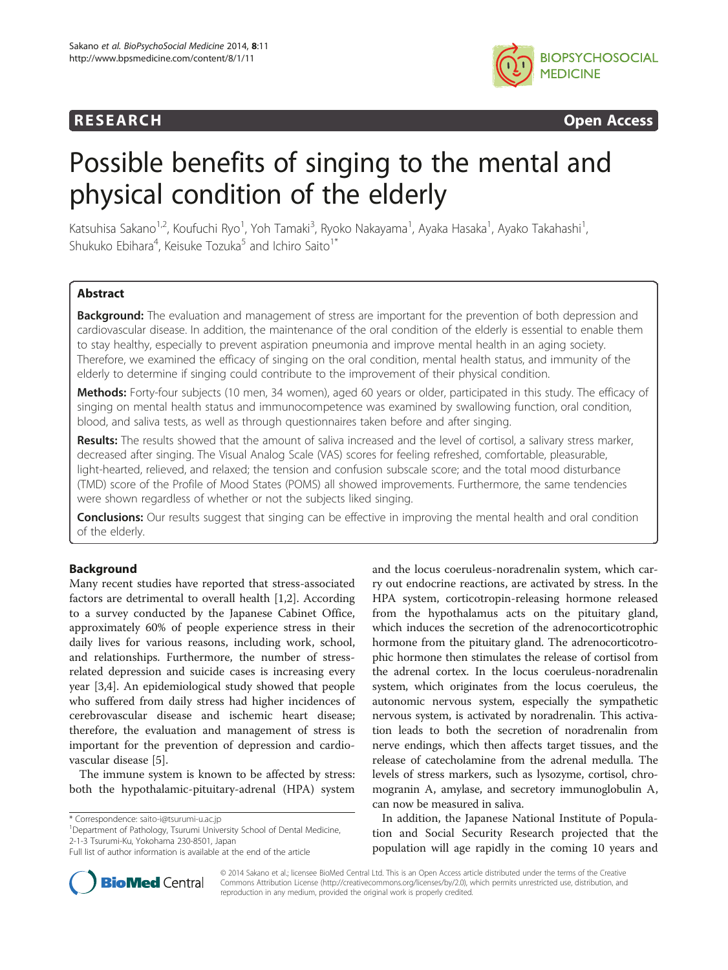# **RESEARCH CONSIDERED ACCESS**



# Possible benefits of singing to the mental and physical condition of the elderly

Katsuhisa Sakano<sup>1,2</sup>, Koufuchi Ryo<sup>1</sup>, Yoh Tamaki<sup>3</sup>, Ryoko Nakayama<sup>1</sup>, Ayaka Hasaka<sup>1</sup>, Ayako Takahashi<sup>1</sup> , Shukuko Ebihara<sup>4</sup>, Keisuke Tozuka<sup>5</sup> and Ichiro Saito<sup>1\*</sup>

# **Abstract**

Background: The evaluation and management of stress are important for the prevention of both depression and cardiovascular disease. In addition, the maintenance of the oral condition of the elderly is essential to enable them to stay healthy, especially to prevent aspiration pneumonia and improve mental health in an aging society. Therefore, we examined the efficacy of singing on the oral condition, mental health status, and immunity of the elderly to determine if singing could contribute to the improvement of their physical condition.

Methods: Forty-four subjects (10 men, 34 women), aged 60 years or older, participated in this study. The efficacy of singing on mental health status and immunocompetence was examined by swallowing function, oral condition, blood, and saliva tests, as well as through questionnaires taken before and after singing.

Results: The results showed that the amount of saliva increased and the level of cortisol, a salivary stress marker, decreased after singing. The Visual Analog Scale (VAS) scores for feeling refreshed, comfortable, pleasurable, light-hearted, relieved, and relaxed; the tension and confusion subscale score; and the total mood disturbance (TMD) score of the Profile of Mood States (POMS) all showed improvements. Furthermore, the same tendencies were shown regardless of whether or not the subjects liked singing.

**Conclusions:** Our results suggest that singing can be effective in improving the mental health and oral condition of the elderly.

# Background

Many recent studies have reported that stress-associated factors are detrimental to overall health [[1](#page-8-0),[2\]](#page-8-0). According to a survey conducted by the Japanese Cabinet Office, approximately 60% of people experience stress in their daily lives for various reasons, including work, school, and relationships. Furthermore, the number of stressrelated depression and suicide cases is increasing every year [\[3,4](#page-8-0)]. An epidemiological study showed that people who suffered from daily stress had higher incidences of cerebrovascular disease and ischemic heart disease; therefore, the evaluation and management of stress is important for the prevention of depression and cardiovascular disease [[5](#page-8-0)].

The immune system is known to be affected by stress: both the hypothalamic-pituitary-adrenal (HPA) system

<sup>1</sup>Department of Pathology, Tsurumi University School of Dental Medicine, 2-1-3 Tsurumi-Ku, Yokohama 230-8501, Japan

and the locus coeruleus-noradrenalin system, which carry out endocrine reactions, are activated by stress. In the HPA system, corticotropin-releasing hormone released from the hypothalamus acts on the pituitary gland, which induces the secretion of the adrenocorticotrophic hormone from the pituitary gland. The adrenocorticotrophic hormone then stimulates the release of cortisol from the adrenal cortex. In the locus coeruleus-noradrenalin system, which originates from the locus coeruleus, the autonomic nervous system, especially the sympathetic nervous system, is activated by noradrenalin. This activation leads to both the secretion of noradrenalin from nerve endings, which then affects target tissues, and the release of catecholamine from the adrenal medulla. The levels of stress markers, such as lysozyme, cortisol, chromogranin A, amylase, and secretory immunoglobulin A, can now be measured in saliva.

In addition, the Japanese National Institute of Population and Social Security Research projected that the population will age rapidly in the coming 10 years and



© 2014 Sakano et al.; licensee BioMed Central Ltd. This is an Open Access article distributed under the terms of the Creative Commons Attribution License [\(http://creativecommons.org/licenses/by/2.0\)](http://creativecommons.org/licenses/by/2.0), which permits unrestricted use, distribution, and reproduction in any medium, provided the original work is properly credited.

<sup>\*</sup> Correspondence: [saito-i@tsurumi-u.ac.jp](mailto:saito-i@tsurumi-u.ac.jp) <sup>1</sup>

Full list of author information is available at the end of the article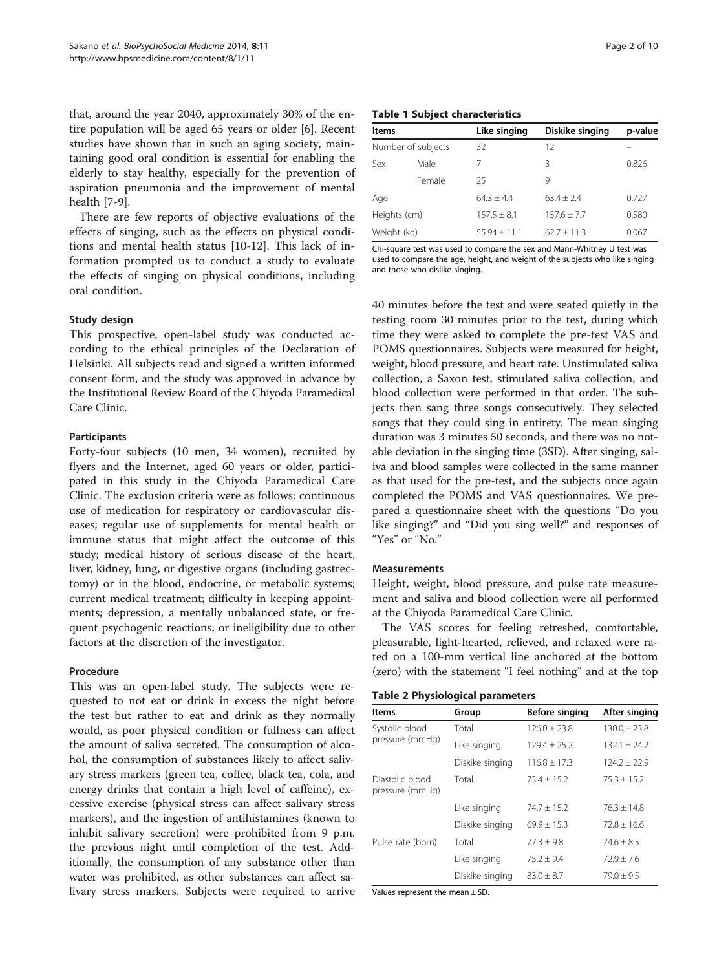<span id="page-1-0"></span>that, around the year 2040, approximately 30% of the entire population will be aged 65 years or older [\[6](#page-8-0)]. Recent studies have shown that in such an aging society, maintaining good oral condition is essential for enabling the elderly to stay healthy, especially for the prevention of aspiration pneumonia and the improvement of mental health [[7-9](#page-8-0)].

There are few reports of objective evaluations of the effects of singing, such as the effects on physical conditions and mental health status [\[10-12](#page-8-0)]. This lack of information prompted us to conduct a study to evaluate the effects of singing on physical conditions, including oral condition.

#### Study design

This prospective, open-label study was conducted according to the ethical principles of the Declaration of Helsinki. All subjects read and signed a written informed consent form, and the study was approved in advance by the Institutional Review Board of the Chiyoda Paramedical Care Clinic.

#### **Participants**

Forty-four subjects (10 men, 34 women), recruited by flyers and the Internet, aged 60 years or older, participated in this study in the Chiyoda Paramedical Care Clinic. The exclusion criteria were as follows: continuous use of medication for respiratory or cardiovascular diseases; regular use of supplements for mental health or immune status that might affect the outcome of this study; medical history of serious disease of the heart, liver, kidney, lung, or digestive organs (including gastrectomy) or in the blood, endocrine, or metabolic systems; current medical treatment; difficulty in keeping appointments; depression, a mentally unbalanced state, or frequent psychogenic reactions; or ineligibility due to other factors at the discretion of the investigator.

### Procedure

This was an open-label study. The subjects were requested to not eat or drink in excess the night before the test but rather to eat and drink as they normally would, as poor physical condition or fullness can affect the amount of saliva secreted. The consumption of alcohol, the consumption of substances likely to affect salivary stress markers (green tea, coffee, black tea, cola, and energy drinks that contain a high level of caffeine), excessive exercise (physical stress can affect salivary stress markers), and the ingestion of antihistamines (known to inhibit salivary secretion) were prohibited from 9 p.m. the previous night until completion of the test. Additionally, the consumption of any substance other than water was prohibited, as other substances can affect salivary stress markers. Subjects were required to arrive

#### Table 1 Subject characteristics

| <b>Items</b>       |        | Like singing    | Diskike singing | p-value |
|--------------------|--------|-----------------|-----------------|---------|
| Number of subjects |        | 32              | 12              |         |
| Sex                | Male   |                 | 3               | 0.826   |
|                    | Female | 25              | 9               |         |
| Age                |        | $64.3 + 4.4$    | $63.4 + 2.4$    | 0.727   |
| Heights (cm)       |        | $157.5 \pm 8.1$ | $157.6 + 7.7$   | 0.580   |
| Weight (kg)        |        | $55.94 + 11.1$  | $62.7 \pm 11.3$ | 0.067   |

Chi-square test was used to compare the sex and Mann-Whitney U test was used to compare the age, height, and weight of the subjects who like singing and those who dislike singing.

40 minutes before the test and were seated quietly in the testing room 30 minutes prior to the test, during which time they were asked to complete the pre-test VAS and POMS questionnaires. Subjects were measured for height, weight, blood pressure, and heart rate. Unstimulated saliva collection, a Saxon test, stimulated saliva collection, and blood collection were performed in that order. The subjects then sang three songs consecutively. They selected songs that they could sing in entirety. The mean singing duration was 3 minutes 50 seconds, and there was no notable deviation in the singing time (3SD). After singing, saliva and blood samples were collected in the same manner as that used for the pre-test, and the subjects once again completed the POMS and VAS questionnaires. We prepared a questionnaire sheet with the questions "Do you like singing?" and "Did you sing well?" and responses of "Yes" or "No."

#### **Measurements**

Height, weight, blood pressure, and pulse rate measurement and saliva and blood collection were all performed at the Chiyoda Paramedical Care Clinic.

The VAS scores for feeling refreshed, comfortable, pleasurable, light-hearted, relieved, and relaxed were rated on a 100-mm vertical line anchored at the bottom (zero) with the statement "I feel nothing" and at the top

### Table 2 Physiological parameters

| <b>Items</b>                       | Group           | Before singing | After singing    |
|------------------------------------|-----------------|----------------|------------------|
| Systolic blood                     | Total           | $126.0 + 23.8$ | $130.0 \pm 23.8$ |
| pressure (mmHq)                    | Like singing    | $129.4 + 25.2$ | $132.1 + 24.2$   |
|                                    | Diskike singing | $116.8 + 17.3$ | $124.2 + 22.9$   |
| Diastolic blood<br>pressure (mmHg) | Total           | $73.4 + 15.2$  | $75.3 + 15.2$    |
|                                    | Like singing    | $74.7 + 15.2$  | $76.3 + 14.8$    |
|                                    | Diskike singing | $69.9 + 15.3$  | $72.8 + 16.6$    |
| Pulse rate (bpm)                   | Total           | $77.3 \pm 9.8$ | $74.6 + 8.5$     |
|                                    | Like singing    | $75.2 \pm 9.4$ | $72.9 + 7.6$     |
|                                    | Diskike singing | $83.0 + 8.7$   | $79.0 + 9.5$     |

Values represent the mean ± SD.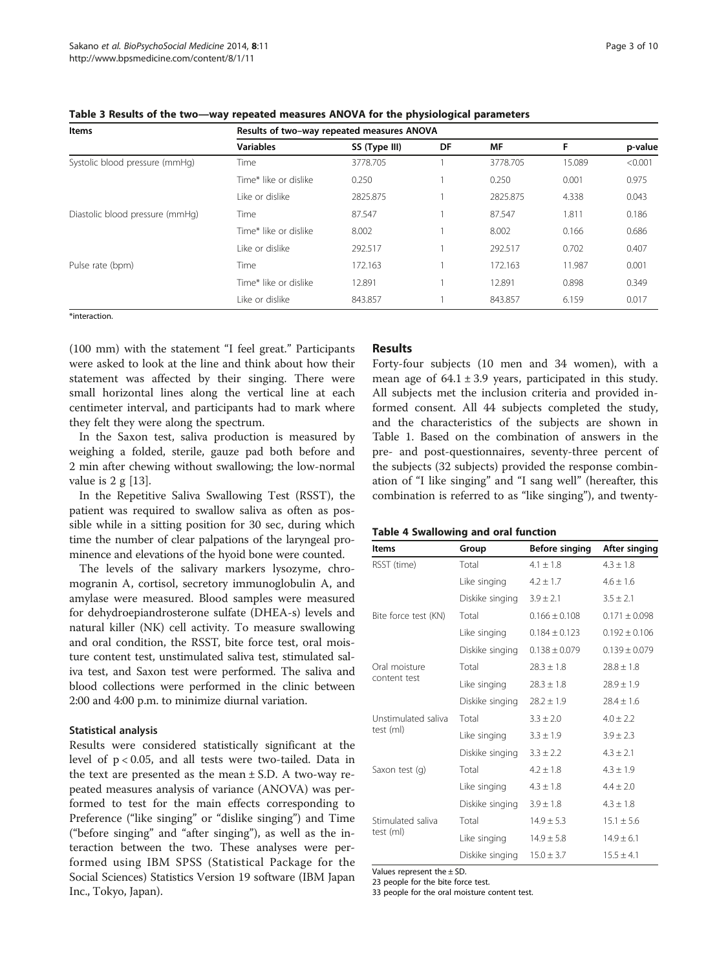<span id="page-2-0"></span>

| Items                           | Results of two-way repeated measures ANOVA |               |    |          |        |         |
|---------------------------------|--------------------------------------------|---------------|----|----------|--------|---------|
|                                 | <b>Variables</b>                           | SS (Type III) | DF | МF       | F      | p-value |
| Systolic blood pressure (mmHg)  | Time                                       | 3778.705      |    | 3778.705 | 15.089 | < 0.001 |
|                                 | Time* like or dislike                      | 0.250         |    | 0.250    | 0.001  | 0.975   |
|                                 | Like or dislike                            | 2825.875      |    | 2825.875 | 4.338  | 0.043   |
| Diastolic blood pressure (mmHg) | Time                                       | 87.547        |    | 87.547   | 1.811  | 0.186   |
|                                 | Time* like or dislike                      | 8.002         |    | 8.002    | 0.166  | 0.686   |
|                                 | Like or dislike                            | 292.517       |    | 292.517  | 0.702  | 0.407   |
| Pulse rate (bpm)                | Time                                       | 172.163       |    | 172.163  | 11.987 | 0.001   |
|                                 | Time* like or dislike                      | 12.891        |    | 12.891   | 0.898  | 0.349   |
|                                 |                                            |               |    |          |        |         |

Table 3 Results of the two—way repeated measures ANOVA for the physiological parameters

 $\overline{\phantom{a}^*}$ interaction.

(100 mm) with the statement "I feel great." Participants were asked to look at the line and think about how their statement was affected by their singing. There were small horizontal lines along the vertical line at each centimeter interval, and participants had to mark where they felt they were along the spectrum.

In the Saxon test, saliva production is measured by weighing a folded, sterile, gauze pad both before and 2 min after chewing without swallowing; the low-normal value is  $2 g [13]$  $2 g [13]$ .

In the Repetitive Saliva Swallowing Test (RSST), the patient was required to swallow saliva as often as possible while in a sitting position for 30 sec, during which time the number of clear palpations of the laryngeal prominence and elevations of the hyoid bone were counted.

The levels of the salivary markers lysozyme, chromogranin A, cortisol, secretory immunoglobulin A, and amylase were measured. Blood samples were measured for dehydroepiandrosterone sulfate (DHEA-s) levels and natural killer (NK) cell activity. To measure swallowing and oral condition, the RSST, bite force test, oral moisture content test, unstimulated saliva test, stimulated saliva test, and Saxon test were performed. The saliva and blood collections were performed in the clinic between 2:00 and 4:00 p.m. to minimize diurnal variation.

# Statistical analysis

Results were considered statistically significant at the level of  $p < 0.05$ , and all tests were two-tailed. Data in the text are presented as the mean  $\pm$  S.D. A two-way repeated measures analysis of variance (ANOVA) was performed to test for the main effects corresponding to Preference ("like singing" or "dislike singing") and Time ("before singing" and "after singing"), as well as the interaction between the two. These analyses were performed using IBM SPSS (Statistical Package for the Social Sciences) Statistics Version 19 software (IBM Japan Inc., Tokyo, Japan).

# Results

Like or dislike **843.857** 1 843.857 6.159 0.017

Forty-four subjects (10 men and 34 women), with a mean age of  $64.1 \pm 3.9$  years, participated in this study. All subjects met the inclusion criteria and provided informed consent. All 44 subjects completed the study, and the characteristics of the subjects are shown in Table [1.](#page-1-0) Based on the combination of answers in the pre- and post-questionnaires, seventy-three percent of the subjects (32 subjects) provided the response combination of "I like singing" and "I sang well" (hereafter, this combination is referred to as "like singing"), and twenty-

#### Table 4 Swallowing and oral function

| <b>Items</b>         | Group           | Before singing    | After singing     |
|----------------------|-----------------|-------------------|-------------------|
| RSST (time)          | Total           | $4.1 + 1.8$       | $4.3 \pm 1.8$     |
|                      | Like singing    | $4.2 \pm 1.7$     | $4.6 \pm 1.6$     |
|                      | Diskike singing | $3.9 \pm 2.1$     | $3.5 \pm 2.1$     |
| Bite force test (KN) | Total           | $0.166 + 0.108$   | $0.171 + 0.098$   |
|                      | Like singing    | $0.184 \pm 0.123$ | $0.192 \pm 0.106$ |
|                      | Diskike singing | $0.138 \pm 0.079$ | $0.139 \pm 0.079$ |
| Oral moisture        | Total           | $28.3 \pm 1.8$    | $28.8 \pm 1.8$    |
| content test         | Like singing    | $28.3 \pm 1.8$    | $28.9 \pm 1.9$    |
|                      | Diskike singing | $28.2 \pm 1.9$    | $28.4 \pm 1.6$    |
| Unstimulated saliva  | Total           | $3.3 \pm 2.0$     | $4.0 \pm 2.2$     |
| test (ml)            | Like singing    | $3.3 \pm 1.9$     | $3.9 \pm 2.3$     |
|                      | Diskike singing | $3.3 \pm 2.2$     | $4.3 \pm 2.1$     |
| Saxon test (q)       | Total           | $4.2 \pm 1.8$     | $4.3 \pm 1.9$     |
|                      | Like singing    | $4.3 \pm 1.8$     | $4.4 \pm 2.0$     |
|                      | Diskike singing | $3.9 \pm 1.8$     | $4.3 \pm 1.8$     |
| Stimulated saliva    | Total           | $14.9 \pm 5.3$    | $15.1 \pm 5.6$    |
| test (ml)            | Like singing    | $14.9 \pm 5.8$    | $14.9 \pm 6.1$    |
|                      | Diskike singing | $15.0 \pm 3.7$    | $15.5 \pm 4.1$    |

Values represent the ± SD.

23 people for the bite force test.

33 people for the oral moisture content test.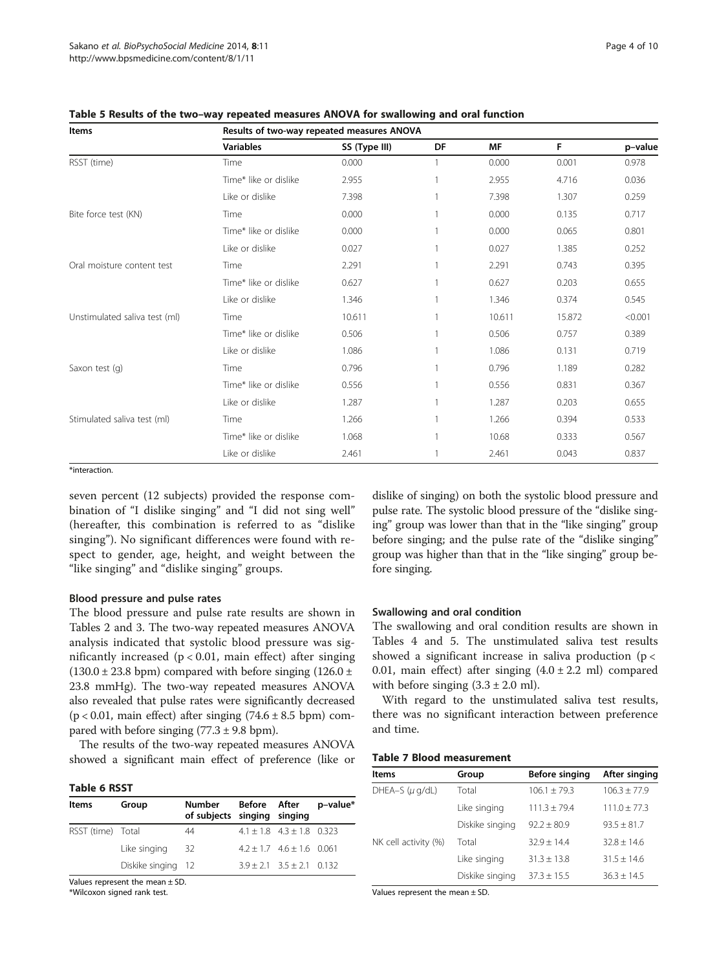| Items                         | Results of two-way repeated measures ANOVA |               |    |        |        |         |  |
|-------------------------------|--------------------------------------------|---------------|----|--------|--------|---------|--|
|                               | <b>Variables</b>                           | SS (Type III) | DF | MF     | F      | p-value |  |
| RSST (time)                   | Time                                       | 0.000         |    | 0.000  | 0.001  | 0.978   |  |
|                               | Time* like or dislike                      | 2.955         |    | 2.955  | 4.716  | 0.036   |  |
|                               | Like or dislike                            | 7.398         |    | 7.398  | 1.307  | 0.259   |  |
| Bite force test (KN)          | Time                                       | 0.000         |    | 0.000  | 0.135  | 0.717   |  |
|                               | Time* like or dislike                      | 0.000         |    | 0.000  | 0.065  | 0.801   |  |
|                               | Like or dislike                            | 0.027         |    | 0.027  | 1.385  | 0.252   |  |
| Oral moisture content test    | Time                                       | 2.291         |    | 2.291  | 0.743  | 0.395   |  |
|                               | Time* like or dislike                      | 0.627         |    | 0.627  | 0.203  | 0.655   |  |
|                               | Like or dislike                            | 1.346         |    | 1.346  | 0.374  | 0.545   |  |
| Unstimulated saliva test (ml) | Time                                       | 10.611        |    | 10.611 | 15.872 | < 0.001 |  |
|                               | Time* like or dislike                      | 0.506         |    | 0.506  | 0.757  | 0.389   |  |
|                               | Like or dislike                            | 1.086         |    | 1.086  | 0.131  | 0.719   |  |
| Saxon test (q)                | Time                                       | 0.796         |    | 0.796  | 1.189  | 0.282   |  |
|                               | Time* like or dislike                      | 0.556         |    | 0.556  | 0.831  | 0.367   |  |
|                               | Like or dislike                            | 1.287         |    | 1.287  | 0.203  | 0.655   |  |
| Stimulated saliva test (ml)   | Time                                       | 1.266         |    | 1.266  | 0.394  | 0.533   |  |
|                               | Time* like or dislike                      | 1.068         |    | 10.68  | 0.333  | 0.567   |  |
|                               | Like or dislike                            | 2.461         |    | 2.461  | 0.043  | 0.837   |  |

<span id="page-3-0"></span>Table 5 Results of the two–way repeated measures ANOVA for swallowing and oral function

seven percent (12 subjects) provided the response combination of "I dislike singing" and "I did not sing well" (hereafter, this combination is referred to as "dislike singing"). No significant differences were found with respect to gender, age, height, and weight between the "like singing" and "dislike singing" groups.

#### Blood pressure and pulse rates

The blood pressure and pulse rate results are shown in Tables [2](#page-1-0) and [3](#page-2-0). The two-way repeated measures ANOVA analysis indicated that systolic blood pressure was significantly increased ( $p < 0.01$ , main effect) after singing (130.0  $\pm$  23.8 bpm) compared with before singing (126.0  $\pm$ 23.8 mmHg). The two-way repeated measures ANOVA also revealed that pulse rates were significantly decreased ( $p < 0.01$ , main effect) after singing (74.6  $\pm$  8.5 bpm) compared with before singing  $(77.3 \pm 9.8 \text{ bpm}).$ 

The results of the two-way repeated measures ANOVA showed a significant main effect of preference (like or

#### Table 6 RSST

| Items             | Group              | Number<br>of subjects singing singing | Before After |                                   | p-value* |
|-------------------|--------------------|---------------------------------------|--------------|-----------------------------------|----------|
| RSST (time) Total |                    | 44                                    |              | $4.1 + 1.8$ $4.3 + 1.8$ 0.323     |          |
|                   | Like singing       | 32                                    |              | $4.2 \pm 1.7$ $4.6 \pm 1.6$ 0.061 |          |
|                   | Diskike singing 12 |                                       |              | $3.9 \pm 2.1$ $3.5 \pm 2.1$ 0.132 |          |

Values represent the mean  $\pm$  SD.

\*Wilcoxon signed rank test.

dislike of singing) on both the systolic blood pressure and pulse rate. The systolic blood pressure of the "dislike singing" group was lower than that in the "like singing" group before singing; and the pulse rate of the "dislike singing" group was higher than that in the "like singing" group before singing.

#### Swallowing and oral condition

The swallowing and oral condition results are shown in Tables [4](#page-2-0) and 5. The unstimulated saliva test results showed a significant increase in saliva production ( $p <$ 0.01, main effect) after singing  $(4.0 \pm 2.2 \text{ ml})$  compared with before singing  $(3.3 \pm 2.0 \text{ ml})$ .

With regard to the unstimulated saliva test results, there was no significant interaction between preference and time.

# Table 7 Blood measurement

| <b>Items</b>         | Group           | Before singing | After singing   |
|----------------------|-----------------|----------------|-----------------|
| DHEA-S $(\mu q/dL)$  | Total           | $106.1 + 79.3$ | $106.3 + 77.9$  |
|                      | Like singing    | $111.3 + 79.4$ | $111.0 + 77.3$  |
|                      | Diskike singing | $92.2 + 80.9$  | $93.5 \pm 81.7$ |
| NK cell activity (%) | Total           | $32.9 + 14.4$  | $32.8 + 14.6$   |
|                      | Like singing    | $31.3 + 13.8$  | $31.5 + 14.6$   |
|                      | Diskike singing | $37.3 + 15.5$  | $36.3 + 14.5$   |

Values represent the mean ± SD.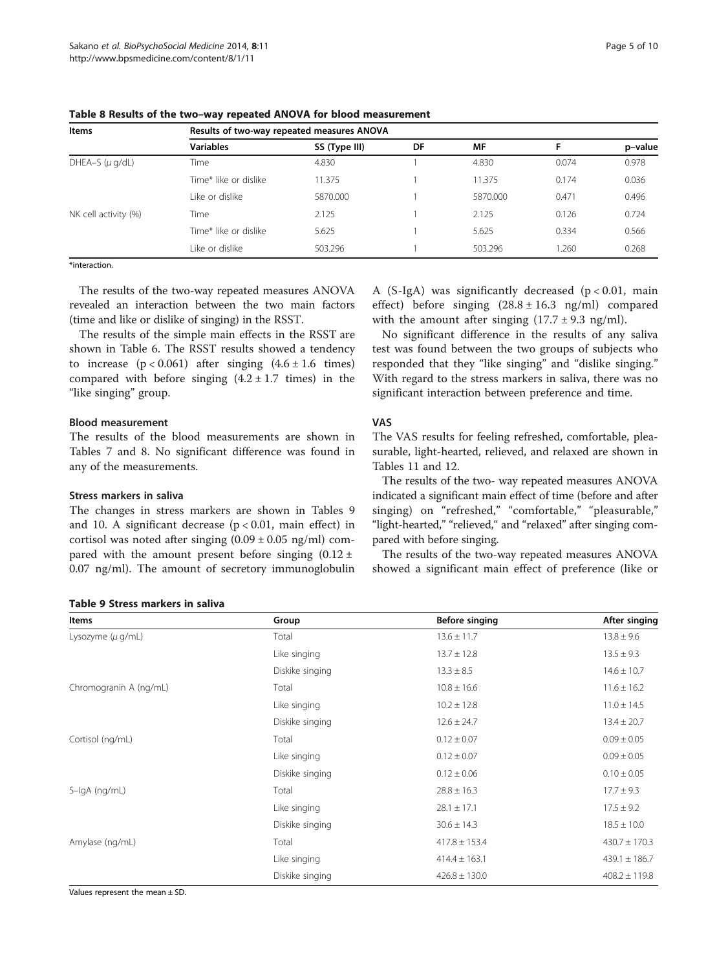| <b>Items</b>         | Results of two-way repeated measures ANOVA |               |    |          |       |         |  |  |
|----------------------|--------------------------------------------|---------------|----|----------|-------|---------|--|--|
|                      | <b>Variables</b>                           | SS (Type III) | DF | MF       |       | p-value |  |  |
| DHEA-S $(\mu q/dL)$  | Time                                       | 4.830         |    | 4.830    | 0.074 | 0.978   |  |  |
|                      | Time* like or dislike                      | 11.375        |    | 11.375   | 0.174 | 0.036   |  |  |
|                      | Like or dislike                            | 5870.000      |    | 5870.000 | 0.471 | 0.496   |  |  |
| NK cell activity (%) | Time                                       | 2.125         |    | 2.125    | 0.126 | 0.724   |  |  |
|                      | Time* like or dislike                      | 5.625         |    | 5.625    | 0.334 | 0.566   |  |  |
|                      | Like or dislike                            | 503.296       |    | 503.296  | 1.260 | 0.268   |  |  |
|                      |                                            |               |    |          |       |         |  |  |

Table 8 Results of the two–way repeated ANOVA for blood measurement

The results of the two-way repeated measures ANOVA revealed an interaction between the two main factors (time and like or dislike of singing) in the RSST.

The results of the simple main effects in the RSST are shown in Table [6](#page-3-0). The RSST results showed a tendency to increase  $(p < 0.061)$  after singing  $(4.6 \pm 1.6 \text{ times})$ compared with before singing  $(4.2 \pm 1.7)$  times) in the "like singing" group.

#### Blood measurement

The results of the blood measurements are shown in Tables [7](#page-3-0) and 8. No significant difference was found in any of the measurements.

#### Stress markers in saliva

The changes in stress markers are shown in Tables 9 and [10.](#page-5-0) A significant decrease  $(p < 0.01$ , main effect) in cortisol was noted after singing  $(0.09 \pm 0.05 \text{ ng/ml})$  compared with the amount present before singing  $(0.12 \pm 1)$ 0.07 ng/ml). The amount of secretory immunoglobulin

|  | Table 9 Stress markers in saliva |  |
|--|----------------------------------|--|
|  |                                  |  |

A (S-IgA) was significantly decreased  $(p < 0.01$ , main effect) before singing  $(28.8 \pm 16.3 \text{ ng/ml})$  compared with the amount after singing  $(17.7 \pm 9.3 \text{ ng/ml})$ .

No significant difference in the results of any saliva test was found between the two groups of subjects who responded that they "like singing" and "dislike singing." With regard to the stress markers in saliva, there was no significant interaction between preference and time.

### VAS

The VAS results for feeling refreshed, comfortable, pleasurable, light-hearted, relieved, and relaxed are shown in Tables [11](#page-5-0) and [12](#page-6-0).

The results of the two- way repeated measures ANOVA indicated a significant main effect of time (before and after singing) on "refreshed," "comfortable," "pleasurable," "light-hearted," "relieved," and "relaxed" after singing compared with before singing.

The results of the two-way repeated measures ANOVA showed a significant main effect of preference (like or

| Items                  | Group           | Before singing    | After singing     |
|------------------------|-----------------|-------------------|-------------------|
| Lysozyme $(\mu q/mL)$  | Total           | $13.6 \pm 11.7$   | $13.8 \pm 9.6$    |
|                        | Like singing    | $13.7 \pm 12.8$   | $13.5 \pm 9.3$    |
|                        | Diskike singing | $13.3 \pm 8.5$    | $14.6 \pm 10.7$   |
| Chromogranin A (ng/mL) | Total           | $10.8 \pm 16.6$   | $11.6 \pm 16.2$   |
|                        | Like singing    | $10.2 \pm 12.8$   | $11.0 \pm 14.5$   |
|                        | Diskike singing | $12.6 \pm 24.7$   | $13.4 \pm 20.7$   |
| Cortisol (ng/mL)       | Total           | $0.12 \pm 0.07$   | $0.09 \pm 0.05$   |
|                        | Like singing    | $0.12 \pm 0.07$   | $0.09 \pm 0.05$   |
|                        | Diskike singing | $0.12 \pm 0.06$   | $0.10 \pm 0.05$   |
| S-IgA (ng/mL)          | Total           | $28.8 \pm 16.3$   | $17.7 \pm 9.3$    |
|                        | Like singing    | $28.1 \pm 17.1$   | $17.5 \pm 9.2$    |
|                        | Diskike singing | $30.6 \pm 14.3$   | $18.5 \pm 10.0$   |
| Amylase (ng/mL)        | Total           | $417.8 \pm 153.4$ | $430.7 \pm 170.3$ |
|                        | Like singing    | $414.4 \pm 163.1$ | $439.1 \pm 186.7$ |
|                        | Diskike singing | $426.8 \pm 130.0$ | $408.2 \pm 119.8$ |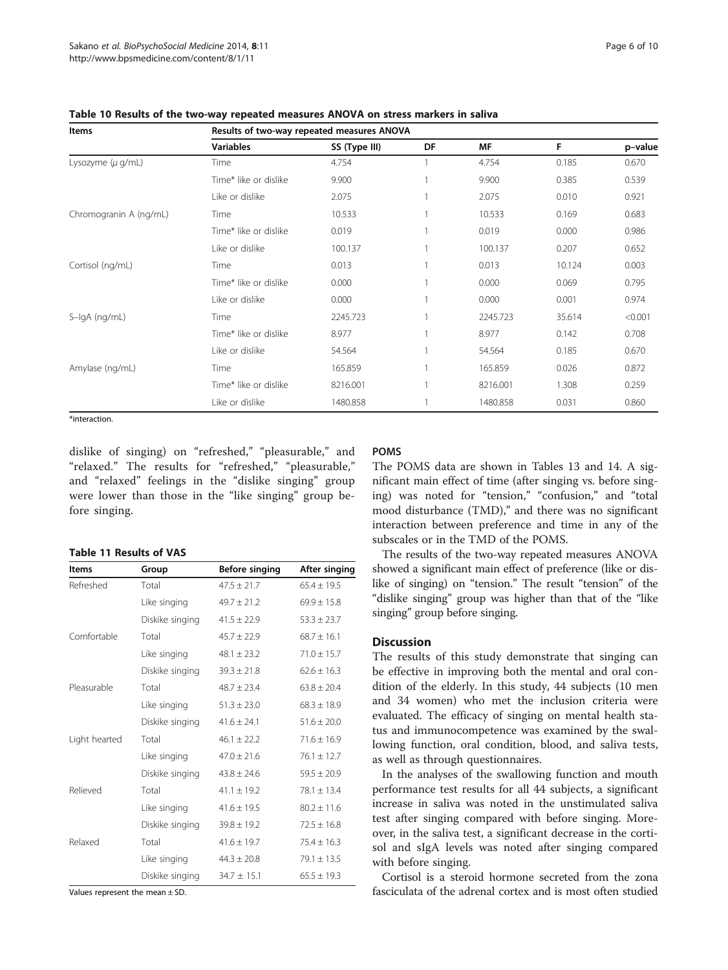| Items                  | Results of two-way repeated measures ANOVA |               |    |          |        |         |  |  |
|------------------------|--------------------------------------------|---------------|----|----------|--------|---------|--|--|
|                        | <b>Variables</b>                           | SS (Type III) | DF | MF       | F.     | p-value |  |  |
| Lysozyme (µ g/mL)      | Time                                       | 4.754         |    | 4.754    | 0.185  | 0.670   |  |  |
|                        | Time* like or dislike                      | 9.900         |    | 9.900    | 0.385  | 0.539   |  |  |
|                        | Like or dislike                            | 2.075         |    | 2.075    | 0.010  | 0.921   |  |  |
| Chromogranin A (ng/mL) | Time                                       | 10.533        |    | 10.533   | 0.169  | 0.683   |  |  |
|                        | Time* like or dislike                      | 0.019         |    | 0.019    | 0.000  | 0.986   |  |  |
|                        | Like or dislike                            | 100.137       |    | 100.137  | 0.207  | 0.652   |  |  |
| Cortisol (ng/mL)       | Time                                       | 0.013         |    | 0.013    | 10.124 | 0.003   |  |  |
|                        | Time* like or dislike                      | 0.000         |    | 0.000    | 0.069  | 0.795   |  |  |
|                        | Like or dislike                            | 0.000         |    | 0.000    | 0.001  | 0.974   |  |  |
| S-IgA (ng/mL)          | Time                                       | 2245.723      |    | 2245.723 | 35.614 | < 0.001 |  |  |
|                        | Time* like or dislike                      | 8.977         |    | 8.977    | 0.142  | 0.708   |  |  |
|                        | Like or dislike                            | 54.564        |    | 54.564   | 0.185  | 0.670   |  |  |
| Amylase (ng/mL)        | Time                                       | 165.859       |    | 165.859  | 0.026  | 0.872   |  |  |
|                        | Time* like or dislike                      | 8216.001      |    | 8216.001 | 1.308  | 0.259   |  |  |
|                        | Like or dislike                            | 1480.858      |    | 1480.858 | 0.031  | 0.860   |  |  |

<span id="page-5-0"></span>Table 10 Results of the two-way repeated measures ANOVA on stress markers in saliva

dislike of singing) on "refreshed," "pleasurable," and "relaxed." The results for "refreshed," "pleasurable," and "relaxed" feelings in the "dislike singing" group were lower than those in the "like singing" group before singing.

#### Table 11 Results of VAS

| Items         | Group           | Before singing  | After singing   |
|---------------|-----------------|-----------------|-----------------|
| Refreshed     | Total           | $47.5 \pm 21.7$ | $65.4 \pm 19.5$ |
|               | Like singing    | $49.7 \pm 21.2$ | $69.9 \pm 15.8$ |
|               | Diskike singing | $41.5 \pm 22.9$ | $53.3 \pm 23.7$ |
| Comfortable   | Total           | $45.7 \pm 22.9$ | $68.7 \pm 16.1$ |
|               | Like singing    | $48.1 \pm 23.2$ | $71.0 \pm 15.7$ |
|               | Diskike singing | $39.3 \pm 21.8$ | $62.6 \pm 16.3$ |
| Pleasurable   | Total           | $48.7 \pm 23.4$ | $63.8 \pm 20.4$ |
|               | Like singing    | $51.3 \pm 23.0$ | $68.3 \pm 18.9$ |
|               | Diskike singing | $41.6 \pm 24.1$ | $51.6 \pm 20.0$ |
| Light hearted | Total           | $46.1 \pm 22.2$ | $71.6 \pm 16.9$ |
|               | Like singing    | $47.0 \pm 21.6$ | $76.1 \pm 12.7$ |
|               | Diskike singing | $43.8 \pm 24.6$ | $59.5 \pm 20.9$ |
| Relieved      | Total           | $41.1 \pm 19.2$ | $78.1 \pm 13.4$ |
|               | Like singing    | $41.6 \pm 19.5$ | $80.2 \pm 11.6$ |
|               | Diskike singing | $39.8 \pm 19.2$ | $72.5 \pm 16.8$ |
| Relaxed       | Total           | $41.6 \pm 19.7$ | $75.4 \pm 16.3$ |
|               | Like singing    | $44.3 \pm 20.8$ | $79.1 \pm 13.5$ |
|               | Diskike singing | $34.7 \pm 15.1$ | $65.5 \pm 19.3$ |

Values represent the mean ± SD.

### POMS

The POMS data are shown in Tables [13](#page-6-0) and [14](#page-7-0). A significant main effect of time (after singing vs. before singing) was noted for "tension," "confusion," and "total mood disturbance (TMD)," and there was no significant interaction between preference and time in any of the subscales or in the TMD of the POMS.

The results of the two-way repeated measures ANOVA showed a significant main effect of preference (like or dislike of singing) on "tension." The result "tension" of the "dislike singing" group was higher than that of the "like singing" group before singing.

#### **Discussion**

The results of this study demonstrate that singing can be effective in improving both the mental and oral condition of the elderly. In this study, 44 subjects (10 men and 34 women) who met the inclusion criteria were evaluated. The efficacy of singing on mental health status and immunocompetence was examined by the swallowing function, oral condition, blood, and saliva tests, as well as through questionnaires.

In the analyses of the swallowing function and mouth performance test results for all 44 subjects, a significant increase in saliva was noted in the unstimulated saliva test after singing compared with before singing. Moreover, in the saliva test, a significant decrease in the cortisol and sIgA levels was noted after singing compared with before singing.

Cortisol is a steroid hormone secreted from the zona fasciculata of the adrenal cortex and is most often studied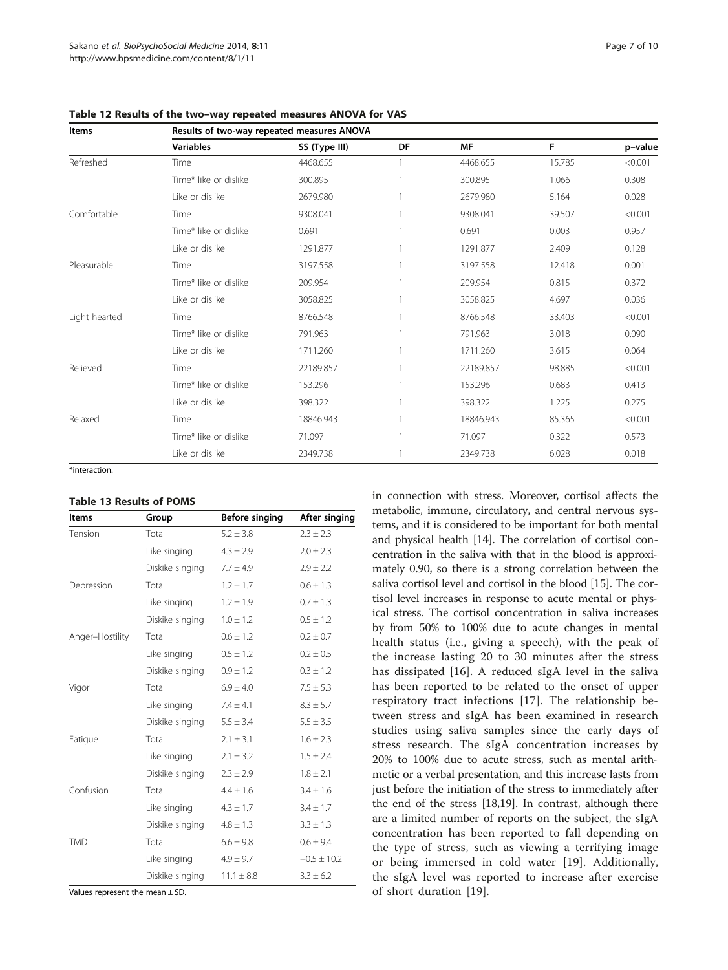| <b>Items</b>  | Results of two-way repeated measures ANOVA |               |    |           |        |         |  |  |
|---------------|--------------------------------------------|---------------|----|-----------|--------|---------|--|--|
|               | <b>Variables</b>                           | SS (Type III) | DF | <b>MF</b> | F      | p-value |  |  |
| Refreshed     | Time                                       | 4468.655      |    | 4468.655  | 15.785 | < 0.001 |  |  |
|               | Time* like or dislike                      | 300.895       |    | 300.895   | 1.066  | 0.308   |  |  |
|               | Like or dislike                            | 2679.980      |    | 2679.980  | 5.164  | 0.028   |  |  |
| Comfortable   | Time                                       | 9308.041      |    | 9308.041  | 39.507 | < 0.001 |  |  |
|               | Time* like or dislike                      | 0.691         |    | 0.691     | 0.003  | 0.957   |  |  |
|               | Like or dislike                            | 1291.877      |    | 1291.877  | 2.409  | 0.128   |  |  |
| Pleasurable   | Time                                       | 3197.558      |    | 3197.558  | 12.418 | 0.001   |  |  |
|               | Time* like or dislike                      | 209.954       |    | 209.954   | 0.815  | 0.372   |  |  |
|               | Like or dislike                            | 3058.825      |    | 3058.825  | 4.697  | 0.036   |  |  |
| Light hearted | Time                                       | 8766.548      |    | 8766.548  | 33.403 | < 0.001 |  |  |
|               | Time* like or dislike                      | 791.963       |    | 791.963   | 3.018  | 0.090   |  |  |
|               | Like or dislike                            | 1711.260      |    | 1711.260  | 3.615  | 0.064   |  |  |
| Relieved      | Time                                       | 22189.857     |    | 22189.857 | 98.885 | < 0.001 |  |  |
|               | Time* like or dislike                      | 153.296       |    | 153.296   | 0.683  | 0.413   |  |  |
|               | Like or dislike                            | 398.322       |    | 398.322   | 1.225  | 0.275   |  |  |
| Relaxed       | Time                                       | 18846.943     |    | 18846.943 | 85.365 | < 0.001 |  |  |
|               | Time* like or dislike                      | 71.097        |    | 71.097    | 0.322  | 0.573   |  |  |
|               | Like or dislike                            | 2349.738      |    | 2349.738  | 6.028  | 0.018   |  |  |

<span id="page-6-0"></span>Table 12 Results of the two–way repeated measures ANOVA for VAS

#### Table 13 Results of POMS

| <b>Items</b>    | Group           | Before singing | After singing   |
|-----------------|-----------------|----------------|-----------------|
| Tension         | Total           | $5.2 \pm 3.8$  | $2.3 \pm 2.3$   |
|                 | Like singing    | $4.3 \pm 2.9$  | $2.0 \pm 2.3$   |
|                 | Diskike singing | $7.7 \pm 4.9$  | $2.9 \pm 2.2$   |
| Depression      | Total           | $1.2 \pm 1.7$  | $0.6 \pm 1.3$   |
|                 | Like singing    | $1.2 \pm 1.9$  | $0.7 \pm 1.3$   |
|                 | Diskike singing | $1.0 \pm 1.2$  | $0.5 \pm 1.2$   |
| Anger-Hostility | Total           | $0.6 \pm 1.2$  | $0.2 \pm 0.7$   |
|                 | Like singing    | $0.5 \pm 1.2$  | $0.2 \pm 0.5$   |
|                 | Diskike singing | $0.9 \pm 1.2$  | $0.3 \pm 1.2$   |
| Vigor           | Total           | $6.9 \pm 4.0$  | $7.5 \pm 5.3$   |
|                 | Like singing    | $7.4 \pm 4.1$  | $8.3 \pm 5.7$   |
|                 | Diskike singing | $5.5 \pm 3.4$  | $5.5 \pm 3.5$   |
| Fatique         | Total           | $2.1 \pm 3.1$  | $1.6 \pm 2.3$   |
|                 | Like singing    | $2.1 \pm 3.2$  | $1.5 \pm 2.4$   |
|                 | Diskike singing | $2.3 \pm 2.9$  | $1.8 \pm 2.1$   |
| Confusion       | Total           | $4.4 \pm 1.6$  | $3.4 \pm 1.6$   |
|                 | Like singing    | $4.3 \pm 1.7$  | $3.4 \pm 1.7$   |
|                 | Diskike singing | $4.8 \pm 1.3$  | $3.3 \pm 1.3$   |
| <b>TMD</b>      | Total           | $6.6 \pm 9.8$  | $0.6 \pm 9.4$   |
|                 | Like singing    | $4.9 \pm 9.7$  | $-0.5 \pm 10.2$ |
|                 | Diskike singing | $11.1 \pm 8.8$ | $3.3 \pm 6.2$   |

Values represent the mean ± SD.

in connection with stress. Moreover, cortisol affects the metabolic, immune, circulatory, and central nervous systems, and it is considered to be important for both mental and physical health [\[14\]](#page-8-0). The correlation of cortisol concentration in the saliva with that in the blood is approximately 0.90, so there is a strong correlation between the saliva cortisol level and cortisol in the blood [\[15\]](#page-8-0). The cortisol level increases in response to acute mental or physical stress. The cortisol concentration in saliva increases by from 50% to 100% due to acute changes in mental health status (i.e., giving a speech), with the peak of the increase lasting 20 to 30 minutes after the stress has dissipated [\[16](#page-8-0)]. A reduced sIgA level in the saliva has been reported to be related to the onset of upper respiratory tract infections [[17\]](#page-9-0). The relationship between stress and sIgA has been examined in research studies using saliva samples since the early days of stress research. The sIgA concentration increases by 20% to 100% due to acute stress, such as mental arithmetic or a verbal presentation, and this increase lasts from just before the initiation of the stress to immediately after the end of the stress [\[18,19\]](#page-9-0). In contrast, although there are a limited number of reports on the subject, the sIgA concentration has been reported to fall depending on the type of stress, such as viewing a terrifying image or being immersed in cold water [[19](#page-9-0)]. Additionally, the sIgA level was reported to increase after exercise of short duration [[19](#page-9-0)].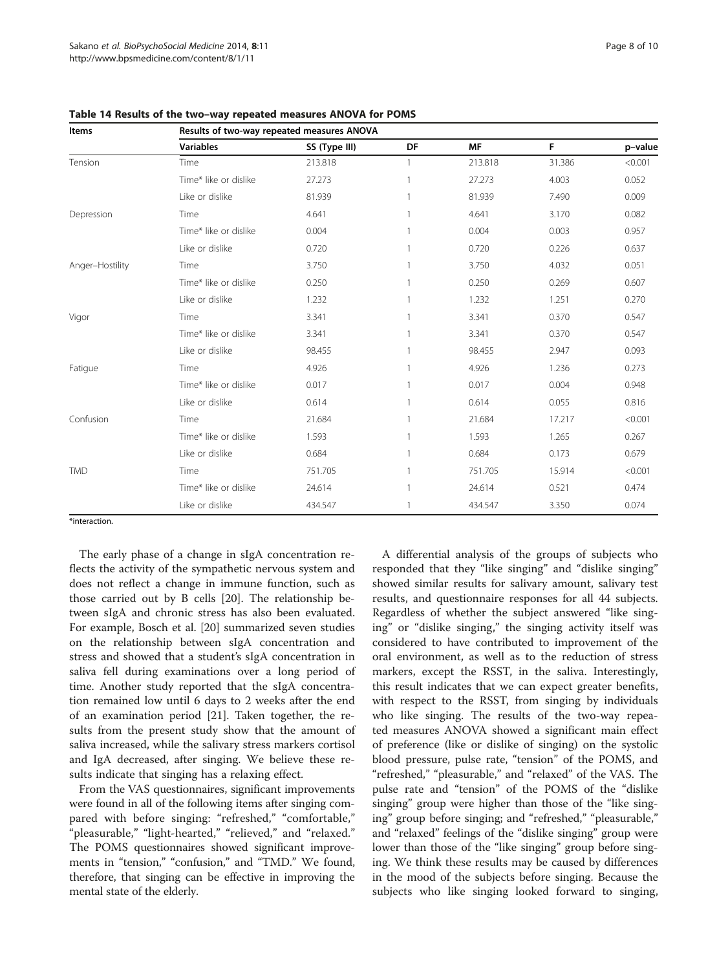| <b>Items</b>    | Results of two-way repeated measures ANOVA |               |    |           |        |         |  |  |
|-----------------|--------------------------------------------|---------------|----|-----------|--------|---------|--|--|
|                 | <b>Variables</b>                           | SS (Type III) | DF | <b>MF</b> | F      | p-value |  |  |
| Tension         | Time                                       | 213.818       |    | 213.818   | 31.386 | < 0.001 |  |  |
|                 | Time* like or dislike                      | 27.273        |    | 27.273    | 4.003  | 0.052   |  |  |
|                 | Like or dislike                            | 81.939        |    | 81.939    | 7.490  | 0.009   |  |  |
| Depression      | Time                                       | 4.641         |    | 4.641     | 3.170  | 0.082   |  |  |
|                 | Time* like or dislike                      | 0.004         |    | 0.004     | 0.003  | 0.957   |  |  |
|                 | Like or dislike                            | 0.720         |    | 0.720     | 0.226  | 0.637   |  |  |
| Anger-Hostility | Time                                       | 3.750         |    | 3.750     | 4.032  | 0.051   |  |  |
|                 | Time* like or dislike                      | 0.250         |    | 0.250     | 0.269  | 0.607   |  |  |
|                 | Like or dislike                            | 1.232         |    | 1.232     | 1.251  | 0.270   |  |  |
| Vigor           | Time                                       | 3.341         |    | 3.341     | 0.370  | 0.547   |  |  |
|                 | Time* like or dislike                      | 3.341         |    | 3.341     | 0.370  | 0.547   |  |  |
|                 | Like or dislike                            | 98.455        |    | 98.455    | 2.947  | 0.093   |  |  |
| Fatigue         | Time                                       | 4.926         |    | 4.926     | 1.236  | 0.273   |  |  |
|                 | Time* like or dislike                      | 0.017         |    | 0.017     | 0.004  | 0.948   |  |  |
|                 | Like or dislike                            | 0.614         |    | 0.614     | 0.055  | 0.816   |  |  |
| Confusion       | Time                                       | 21.684        |    | 21.684    | 17.217 | < 0.001 |  |  |
|                 | Time* like or dislike                      | 1.593         |    | 1.593     | 1.265  | 0.267   |  |  |
|                 | Like or dislike                            | 0.684         |    | 0.684     | 0.173  | 0.679   |  |  |
| <b>TMD</b>      | Time                                       | 751.705       |    | 751.705   | 15.914 | < 0.001 |  |  |
|                 | Time* like or dislike                      | 24.614        |    | 24.614    | 0.521  | 0.474   |  |  |
|                 | Like or dislike                            | 434.547       |    | 434.547   | 3.350  | 0.074   |  |  |

<span id="page-7-0"></span>Table 14 Results of the two–way repeated measures ANOVA for POMS

The early phase of a change in sIgA concentration reflects the activity of the sympathetic nervous system and does not reflect a change in immune function, such as those carried out by B cells [\[20](#page-9-0)]. The relationship between sIgA and chronic stress has also been evaluated. For example, Bosch et al. [\[20\]](#page-9-0) summarized seven studies on the relationship between sIgA concentration and stress and showed that a student's sIgA concentration in saliva fell during examinations over a long period of time. Another study reported that the sIgA concentration remained low until 6 days to 2 weeks after the end of an examination period [[21](#page-9-0)]. Taken together, the results from the present study show that the amount of saliva increased, while the salivary stress markers cortisol and IgA decreased, after singing. We believe these results indicate that singing has a relaxing effect.

From the VAS questionnaires, significant improvements were found in all of the following items after singing compared with before singing: "refreshed," "comfortable," "pleasurable," "light-hearted," "relieved," and "relaxed." The POMS questionnaires showed significant improvements in "tension," "confusion," and "TMD." We found, therefore, that singing can be effective in improving the mental state of the elderly.

A differential analysis of the groups of subjects who responded that they "like singing" and "dislike singing" showed similar results for salivary amount, salivary test results, and questionnaire responses for all 44 subjects. Regardless of whether the subject answered "like singing" or "dislike singing," the singing activity itself was considered to have contributed to improvement of the oral environment, as well as to the reduction of stress markers, except the RSST, in the saliva. Interestingly, this result indicates that we can expect greater benefits, with respect to the RSST, from singing by individuals who like singing. The results of the two-way repeated measures ANOVA showed a significant main effect of preference (like or dislike of singing) on the systolic blood pressure, pulse rate, "tension" of the POMS, and "refreshed," "pleasurable," and "relaxed" of the VAS. The pulse rate and "tension" of the POMS of the "dislike singing" group were higher than those of the "like singing" group before singing; and "refreshed," "pleasurable," and "relaxed" feelings of the "dislike singing" group were lower than those of the "like singing" group before singing. We think these results may be caused by differences in the mood of the subjects before singing. Because the subjects who like singing looked forward to singing,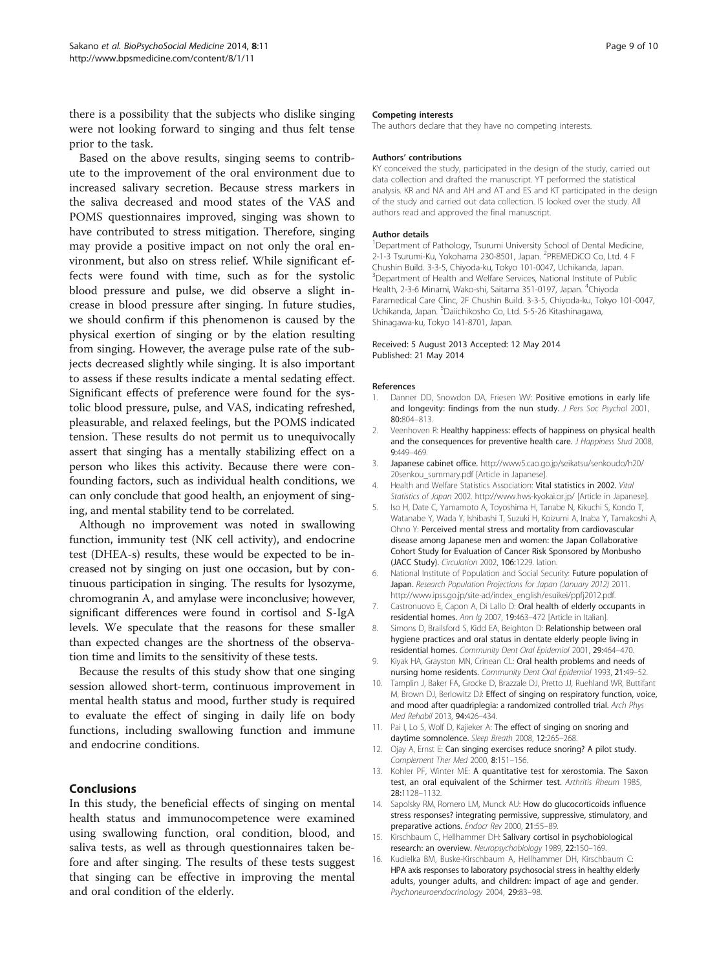<span id="page-8-0"></span>there is a possibility that the subjects who dislike singing were not looking forward to singing and thus felt tense prior to the task.

Based on the above results, singing seems to contribute to the improvement of the oral environment due to increased salivary secretion. Because stress markers in the saliva decreased and mood states of the VAS and POMS questionnaires improved, singing was shown to have contributed to stress mitigation. Therefore, singing may provide a positive impact on not only the oral environment, but also on stress relief. While significant effects were found with time, such as for the systolic blood pressure and pulse, we did observe a slight increase in blood pressure after singing. In future studies, we should confirm if this phenomenon is caused by the physical exertion of singing or by the elation resulting from singing. However, the average pulse rate of the subjects decreased slightly while singing. It is also important to assess if these results indicate a mental sedating effect. Significant effects of preference were found for the systolic blood pressure, pulse, and VAS, indicating refreshed, pleasurable, and relaxed feelings, but the POMS indicated tension. These results do not permit us to unequivocally assert that singing has a mentally stabilizing effect on a person who likes this activity. Because there were confounding factors, such as individual health conditions, we can only conclude that good health, an enjoyment of singing, and mental stability tend to be correlated.

Although no improvement was noted in swallowing function, immunity test (NK cell activity), and endocrine test (DHEA-s) results, these would be expected to be increased not by singing on just one occasion, but by continuous participation in singing. The results for lysozyme, chromogranin A, and amylase were inconclusive; however, significant differences were found in cortisol and S-IgA levels. We speculate that the reasons for these smaller than expected changes are the shortness of the observation time and limits to the sensitivity of these tests.

Because the results of this study show that one singing session allowed short-term, continuous improvement in mental health status and mood, further study is required to evaluate the effect of singing in daily life on body functions, including swallowing function and immune and endocrine conditions.

#### Conclusions

In this study, the beneficial effects of singing on mental health status and immunocompetence were examined using swallowing function, oral condition, blood, and saliva tests, as well as through questionnaires taken before and after singing. The results of these tests suggest that singing can be effective in improving the mental and oral condition of the elderly.

#### Competing interests

The authors declare that they have no competing interests.

#### Authors' contributions

KY conceived the study, participated in the design of the study, carried out data collection and drafted the manuscript. YT performed the statistical analysis. KR and NA and AH and AT and ES and KT participated in the design of the study and carried out data collection. IS looked over the study. All authors read and approved the final manuscript.

#### Author details

<sup>1</sup>Department of Pathology, Tsurumi University School of Dental Medicine, 2-1-3 Tsurumi-Ku, Yokohama 230-8501, Japan. <sup>2</sup>PREMEDICO Co, Ltd. 4 F Chushin Build. 3-3-5, Chiyoda-ku, Tokyo 101-0047, Uchikanda, Japan. <sup>3</sup>Department of Health and Welfare Services, National Institute of Public Health, 2-3-6 Minami, Wako-shi, Saitama 351-0197, Japan. <sup>4</sup>Chiyoda Paramedical Care Clinc, 2F Chushin Build. 3-3-5, Chiyoda-ku, Tokyo 101-0047, Uchikanda, Japan. <sup>5</sup>Daiichikosho Co, Ltd. 5-5-26 Kitashinagawa, Shinagawa-ku, Tokyo 141-8701, Japan.

#### Received: 5 August 2013 Accepted: 12 May 2014 Published: 21 May 2014

#### References

- 1. Danner DD, Snowdon DA, Friesen WV: Positive emotions in early life and longevity: findings from the nun study. J Pers Soc Psychol 2001, 80:804–813.
- 2. Veenhoven R: Healthy happiness: effects of happiness on physical health and the consequences for preventive health care. J Happiness Stud 2008, 9:449–469.
- 3. Japanese cabinet office. [http://www5.cao.go.jp/seikatsu/senkoudo/h20/](http://www5.cao.go.jp/seikatsu/senkoudo/h20/20senkou_summary.pdf) [20senkou\\_summary.pdf](http://www5.cao.go.jp/seikatsu/senkoudo/h20/20senkou_summary.pdf) [Article in Japanese].
- 4. Health and Welfare Statistics Association: Vital statistics in 2002. Vital Statistics of Japan 2002. [http://www.hws-kyokai.or.jp/](http://www.hws-kyokai.or.jp/#http://www.hws-kyokai.or.jp/) [Article in Japanese].
- 5. Iso H, Date C, Yamamoto A, Toyoshima H, Tanabe N, Kikuchi S, Kondo T, Watanabe Y, Wada Y, Ishibashi T, Suzuki H, Koizumi A, Inaba Y, Tamakoshi A, Ohno Y: Perceived mental stress and mortality from cardiovascular disease among Japanese men and women: the Japan Collaborative Cohort Study for Evaluation of Cancer Risk Sponsored by Monbusho (JACC Study). Circulation 2002, 106:1229. lation.
- 6. National Institute of Population and Social Security: Future population of Japan. Research Population Projections for Japan (January 2012) 2011. [http://www.ipss.go.jp/site-ad/index\\_english/esuikei/ppfj2012.pdf.](http://www.ipss.go.jp/site-ad/index_english/esuikei/ppfj2012.pdf)
- 7. Castronuovo E, Capon A, Di Lallo D: Oral health of elderly occupants in residential homes. Ann Ig 2007, 19:463–472 [Article in Italian].
- 8. Simons D, Brailsford S, Kidd EA, Beighton D: Relationship between oral hygiene practices and oral status in dentate elderly people living in residential homes. Community Dent Oral Epidemiol 2001, 29:464–470.
- 9. Kiyak HA, Grayston MN, Crinean CL: Oral health problems and needs of nursing home residents. Community Dent Oral Epidemiol 1993, 21:49–52.
- 10. Tamplin J, Baker FA, Grocke D, Brazzale DJ, Pretto JJ, Ruehland WR, Buttifant M, Brown DJ, Berlowitz DJ: Effect of singing on respiratory function, voice, and mood after quadriplegia: a randomized controlled trial. Arch Phys Med Rehabil 2013, 94:426–434.
- 11. Pai I, Lo S, Wolf D, Kajieker A: The effect of singing on snoring and daytime somnolence. Sleep Breath 2008, 12:265–268.
- 12. Ojay A, Ernst E: Can singing exercises reduce snoring? A pilot study. Complement Ther Med 2000, 8:151–156.
- 13. Kohler PF, Winter ME: A quantitative test for xerostomia. The Saxon test, an oral equivalent of the Schirmer test. Arthritis Rheum 1985, 28:1128–1132.
- 14. Sapolsky RM, Romero LM, Munck AU: How do glucocorticoids influence stress responses? integrating permissive, suppressive, stimulatory, and preparative actions. Endocr Rev 2000, 21:55–89.
- 15. Kirschbaum C, Hellhammer DH: Salivary cortisol in psychobiological research: an overview. Neuropsychobiology 1989, 22:150–169.
- 16. Kudielka BM, Buske-Kirschbaum A, Hellhammer DH, Kirschbaum C: HPA axis responses to laboratory psychosocial stress in healthy elderly adults, younger adults, and children: impact of age and gender. Psychoneuroendocrinology 2004, 29:83–98.